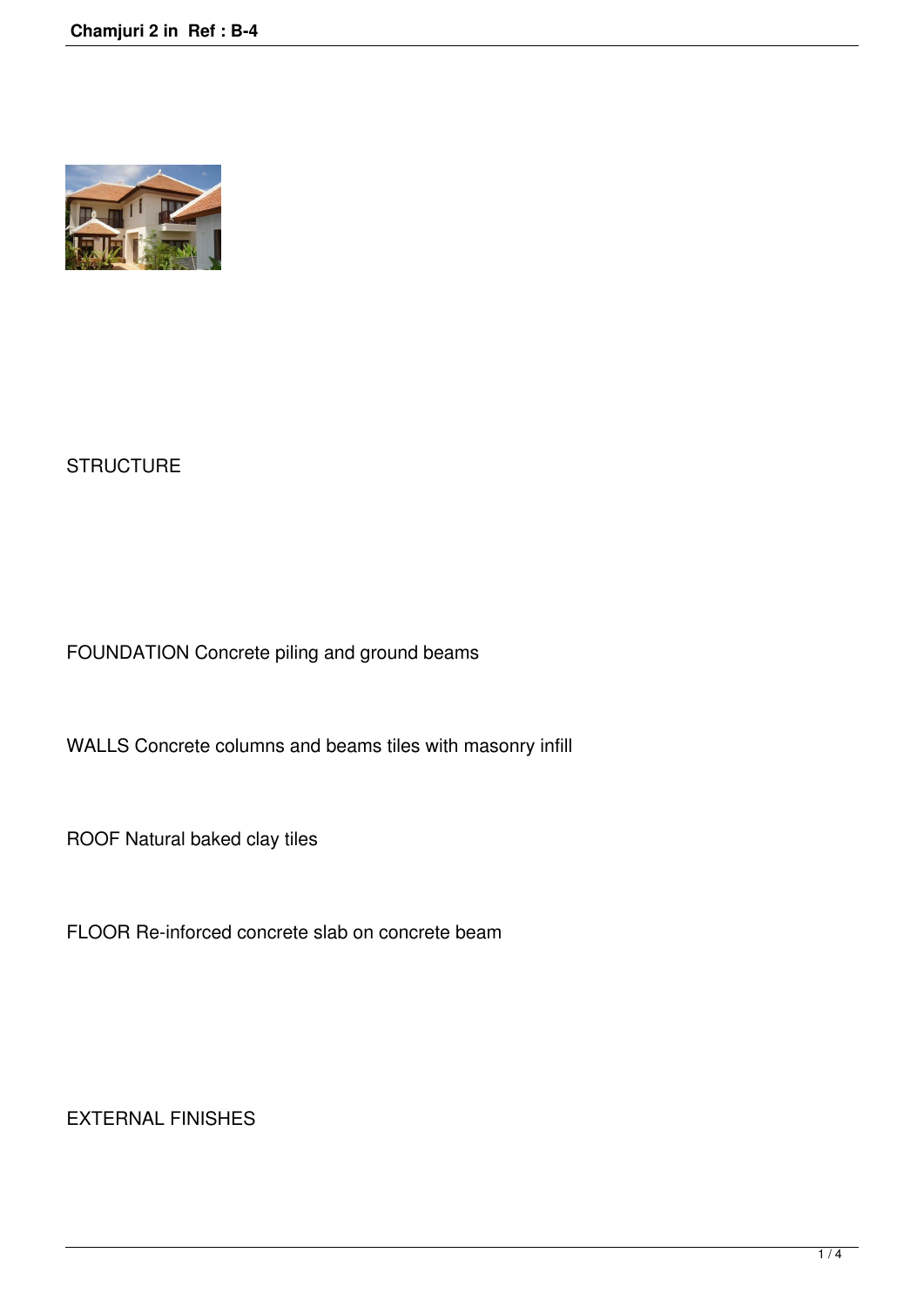

## **STRUCTURE**

FOUNDATION Concrete piling and ground beams

WALLS Concrete columns and beams tiles with masonry infill

ROOF Natural baked clay tiles

FLOOR Re-inforced concrete slab on concrete beam

EXTERNAL FINISHES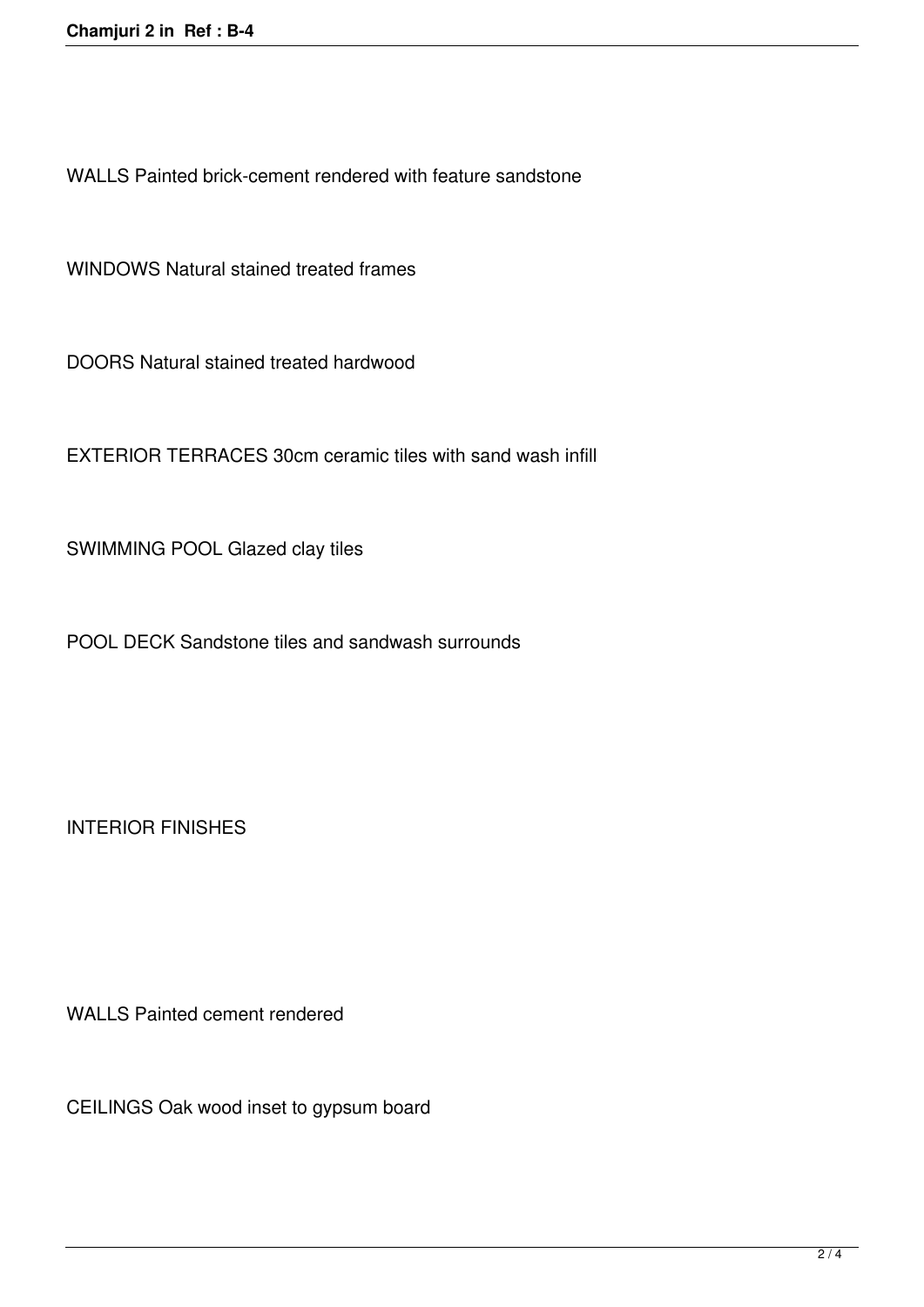WALLS Painted brick-cement rendered with feature sandstone

WINDOWS Natural stained treated frames

DOORS Natural stained treated hardwood

EXTERIOR TERRACES 30cm ceramic tiles with sand wash infill

SWIMMING POOL Glazed clay tiles

POOL DECK Sandstone tiles and sandwash surrounds

INTERIOR FINISHES

WALLS Painted cement rendered

CEILINGS Oak wood inset to gypsum board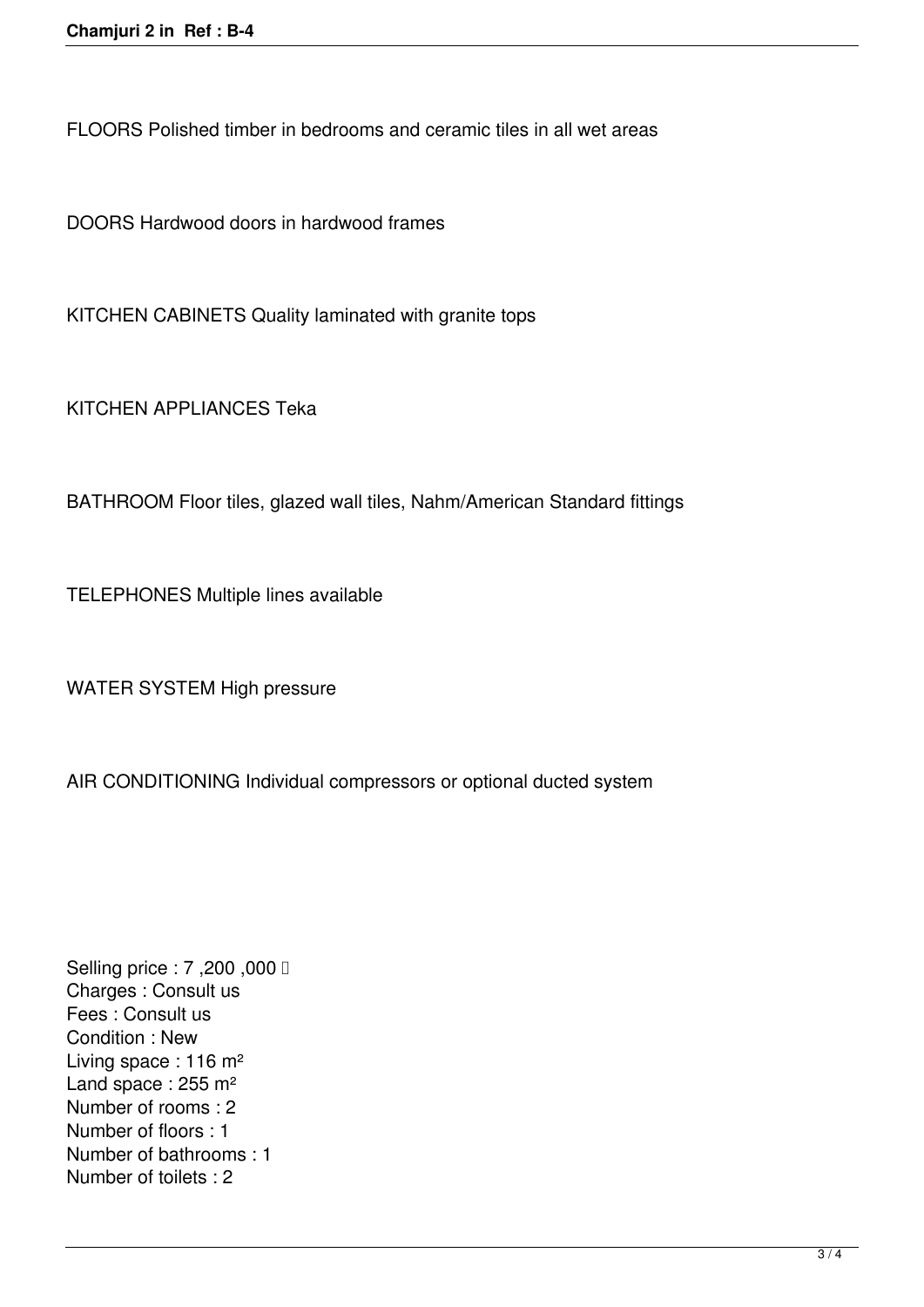FLOORS Polished timber in bedrooms and ceramic tiles in all wet areas

DOORS Hardwood doors in hardwood frames

KITCHEN CABINETS Quality laminated with granite tops

KITCHEN APPLIANCES Teka

BATHROOM Floor tiles, glazed wall tiles, Nahm/American Standard fittings

TELEPHONES Multiple lines available

WATER SYSTEM High pressure

AIR CONDITIONING Individual compressors or optional ducted system

Selling price : 7,200,000 **□** Charges : Consult us Fees : Consult us Condition : New Living space : 116 m² Land space : 255 m<sup>2</sup> Number of rooms : 2 Number of floors : 1 Number of bathrooms : 1 Number of toilets : 2